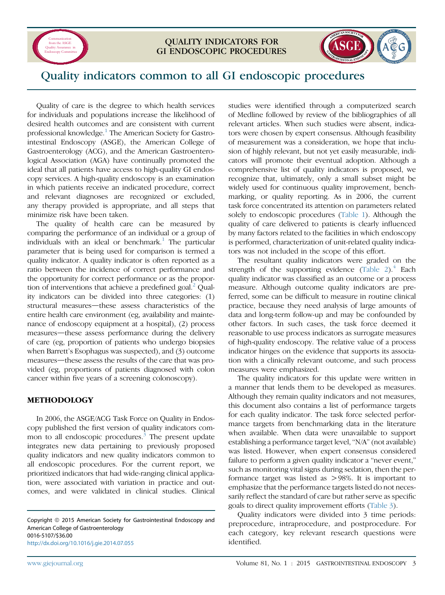

QUALITY INDICATORS FOR GI ENDOSCOPIC PROCEDURES



# Quality indicators common to all GI endoscopic procedures

Quality of care is the degree to which health services for individuals and populations increase the likelihood of desired health outcomes and are consistent with current professional knowledge.<sup>[1](#page-11-0)</sup> The American Society for Gastrointestinal Endoscopy (ASGE), the American College of Gastroenterology (ACG), and the American Gastroenterological Association (AGA) have continually promoted the ideal that all patients have access to high-quality GI endoscopy services. A high-quality endoscopy is an examination in which patients receive an indicated procedure, correct and relevant diagnoses are recognized or excluded, any therapy provided is appropriate, and all steps that minimize risk have been taken.

The quality of health care can be measured by comparing the performance of an individual or a group of individuals with an ideal or benchmark.<sup>[1](#page-11-0)</sup> The particular parameter that is being used for comparison is termed a quality indicator. A quality indicator is often reported as a ratio between the incidence of correct performance and the opportunity for correct performance or as the proportion of interventions that achieve a predefined goal. $2$  Quality indicators can be divided into three categories: (1) structural measures-these assess characteristics of the entire health care environment (eg, availability and maintenance of endoscopy equipment at a hospital), (2) process measures—these assess performance during the delivery of care (eg, proportion of patients who undergo biopsies when Barrett's Esophagus was suspected), and (3) outcome measures—these assess the results of the care that was provided (eg, proportions of patients diagnosed with colon cancer within five years of a screening colonoscopy).

# METHODOLOGY

In 2006, the ASGE/ACG Task Force on Quality in Endoscopy published the first version of quality indicators common to all endoscopic procedures. $3$  The present update integrates new data pertaining to previously proposed quality indicators and new quality indicators common to all endoscopic procedures. For the current report, we prioritized indicators that had wide-ranging clinical application, were associated with variation in practice and outcomes, and were validated in clinical studies. Clinical

Copyright @ 2015 American Society for Gastrointestinal Endoscopy and American College of Gastroenterology 0016-5107/\$36.00 <http://dx.doi.org/10.1016/j.gie.2014.07.055>

studies were identified through a computerized search of Medline followed by review of the bibliographies of all relevant articles. When such studies were absent, indicators were chosen by expert consensus. Although feasibility of measurement was a consideration, we hope that inclusion of highly relevant, but not yet easily measurable, indicators will promote their eventual adoption. Although a comprehensive list of quality indicators is proposed, we recognize that, ultimately, only a small subset might be widely used for continuous quality improvement, benchmarking, or quality reporting. As in 2006, the current task force concentrated its attention on parameters related solely to endoscopic procedures [\(Table 1](#page-1-0)). Although the quality of care delivered to patients is clearly influenced by many factors related to the facilities in which endoscopy is performed, characterization of unit-related quality indicators was not included in the scope of this effort.

The resultant quality indicators were graded on the strength of the supporting evidence [\(Table 2\)](#page-2-0).<sup>[4](#page-12-0)</sup> Each quality indicator was classified as an outcome or a process measure. Although outcome quality indicators are preferred, some can be difficult to measure in routine clinical practice, because they need analysis of large amounts of data and long-term follow-up and may be confounded by other factors. In such cases, the task force deemed it reasonable to use process indicators as surrogate measures of high-quality endoscopy. The relative value of a process indicator hinges on the evidence that supports its association with a clinically relevant outcome, and such process measures were emphasized.

The quality indicators for this update were written in a manner that lends them to be developed as measures. Although they remain quality indicators and not measures, this document also contains a list of performance targets for each quality indicator. The task force selected performance targets from benchmarking data in the literature when available. When data were unavailable to support establishing a performance target level, "N/A" (not available) was listed. However, when expert consensus considered failure to perform a given quality indicator a "never event," such as monitoring vital signs during sedation, then the performance target was listed as  $>98\%$ . It is important to emphasize that the performance targets listed do not necessarily reflect the standard of care but rather serve as specific goals to direct quality improvement efforts [\(Table 3](#page-3-0)).

Quality indicators were divided into 3 time periods: preprocedure, intraprocedure, and postprocedure. For each category, key relevant research questions were identified.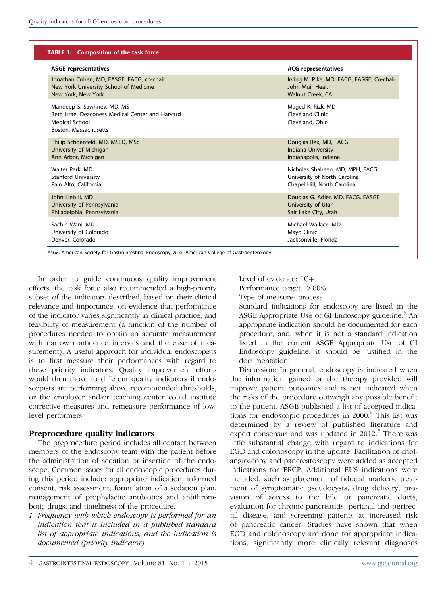<span id="page-1-0"></span>

| <b>ASGE representatives</b>                                                                                               | <b>ACG representatives</b>                               |
|---------------------------------------------------------------------------------------------------------------------------|----------------------------------------------------------|
| Jonathan Cohen, MD, FASGE, FACG, co-chair                                                                                 | Irving M. Pike, MD, FACG, FASGE, Co-chair                |
| New York University School of Medicine                                                                                    | John Muir Health                                         |
| New York, New York                                                                                                        | <b>Walnut Creek, CA</b>                                  |
| Mandeep S. Sawhney, MD, MS<br>Beth Israel Deaconess Medical Center and Harvard<br>Medical School<br>Boston, Massachusetts | Maged K. Rizk, MD<br>Cleveland Clinic<br>Cleveland, Ohio |
| Philip Schoenfeld, MD, MSED, MSc                                                                                          | Douglas Rex, MD, FACG                                    |
| University of Michigan                                                                                                    | Indiana University                                       |
| Ann Arbor, Michigan                                                                                                       | Indianapolis, Indiana                                    |
| Walter Park, MD                                                                                                           | Nicholas Shaheen, MD, MPH, FACG                          |
| <b>Stanford University</b>                                                                                                | University of North Carolina                             |
| Palo Alto, California                                                                                                     | Chapel Hill, North Carolina                              |
| John Lieb II, MD                                                                                                          | Douglas G. Adler, MD, FACG, FASGE                        |
| University of Pennsylvania                                                                                                | University of Utah                                       |
| Philadelphia, Pennsylvania                                                                                                | Salt Lake City, Utah                                     |
| Sachin Wani, MD                                                                                                           | Michael Wallace, MD                                      |
| University of Colorado                                                                                                    | Mayo Clinic                                              |
| Denver, Colorado                                                                                                          | Jacksonville, Florida                                    |

In order to guide continuous quality improvement efforts, the task force also recommended a high-priority subset of the indicators described, based on their clinical relevance and importance, on evidence that performance of the indicator varies significantly in clinical practice, and feasibility of measurement (a function of the number of procedures needed to obtain an accurate measurement with narrow confidence intervals and the ease of measurement). A useful approach for individual endoscopists is to first measure their performances with regard to these priority indicators. Quality improvement efforts would then move to different quality indicators if endoscopists are performing above recommended thresholds, or the employer and/or teaching center could institute corrective measures and remeasure performance of lowlevel performers.

# Preprocedure quality indicators

The preprocedure period includes all contact between members of the endoscopy team with the patient before the administration of sedation or insertion of the endoscope. Common issues for all endoscopic procedures during this period include: appropriate indication, informed consent, risk assessment, formulation of a sedation plan, management of prophylactic antibiotics and antithrombotic drugs, and timeliness of the procedure.

1. Frequency with which endoscopy is performed for an indication that is included in a published standard list of appropriate indications, and the indication is documented (priority indicator)

Level of evidence:  $1C +$ 

Performance target:  $>80\%$ 

Type of measure: process

Standard indications for endoscopy are listed in the ASGE Appropriate Use of GI Endoscopy guideline.<sup>[5](#page-12-0)</sup> An appropriate indication should be documented for each procedure, and, when it is not a standard indication listed in the current ASGE Appropriate Use of GI Endoscopy guideline, it should be justified in the documentation.

Discussion: In general, endoscopy is indicated when the information gained or the therapy provided will improve patient outcomes and is not indicated when the risks of the procedure outweigh any possible benefit to the patient. ASGE published a list of accepted indications for endoscopic procedures in  $2000^\circ$ . This list was determined by a review of published literature and expert consensus and was updated in 2012.<sup>[5](#page-12-0)</sup> There was little substantial change with regard to indications for EGD and colonoscopy in the update. Facilitation of cholangioscopy and pancreatoscopy were added as accepted indications for ERCP. Additional EUS indications were included, such as placement of fiducial markers, treatment of symptomatic pseudocysts, drug delivery, provision of access to the bile or pancreatic ducts, evaluation for chronic pancreatitis, perianal and perirectal disease, and screening patients at increased risk of pancreatic cancer. Studies have shown that when EGD and colonoscopy are done for appropriate indications, significantly more clinically relevant diagnoses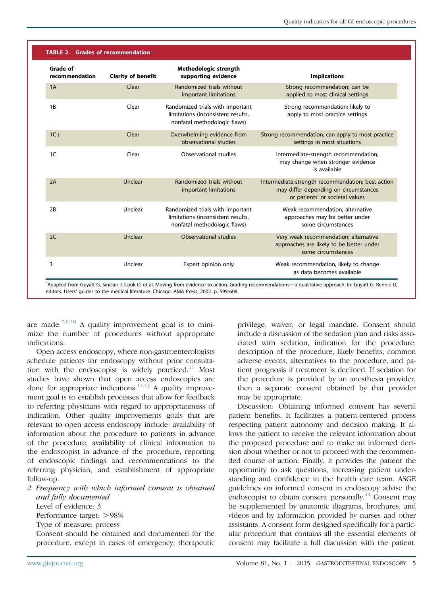<span id="page-2-0"></span>

| Grade of<br>recommendation | <b>Clarity of benefit</b> | Methodologic strength<br>supporting evidence                                                           | <b>Implications</b>                                                                                                           |
|----------------------------|---------------------------|--------------------------------------------------------------------------------------------------------|-------------------------------------------------------------------------------------------------------------------------------|
| 1A                         | Clear                     | Randomized trials without<br>important limitations                                                     | Strong recommendation; can be<br>applied to most clinical settings                                                            |
| 1B                         | Clear                     | Randomized trials with important<br>limitations (inconsistent results,<br>nonfatal methodologic flaws) | Strong recommendation; likely to<br>apply to most practice settings                                                           |
| $1C+$                      | Clear                     | Overwhelming evidence from<br>observational studies                                                    | Strong recommendation, can apply to most practice<br>settings in most situations                                              |
| 1 <sup>C</sup>             | Clear                     | Observational studies                                                                                  | Intermediate-strength recommendation,<br>may change when stronger evidence<br>is available                                    |
| 2A                         | Unclear                   | Randomized trials without<br>important limitations                                                     | Intermediate-strength recommendation; best action<br>may differ depending on circumstances<br>or patients' or societal values |
| 2B                         | Unclear                   | Randomized trials with important<br>limitations (inconsistent results,<br>nonfatal methodologic flaws) | Weak recommendation; alternative<br>approaches may be better under<br>some circumstances                                      |
| 2C                         | Unclear                   | <b>Observational studies</b>                                                                           | Very weak recommendation; alternative<br>approaches are likely to be better under<br>some circumstances                       |
| 3                          | Unclear                   | Expert opinion only                                                                                    | Weak recommendation, likely to change<br>as data becomes available                                                            |

are made.<sup>[7-9,10](#page-12-0)</sup> A quality improvement goal is to minimize the number of procedures without appropriate indications.

Open access endoscopy, where non-gastroenterologists schedule patients for endoscopy without prior consultation with the endoscopist is widely practiced. $11$  Most studies have shown that open access endoscopies are done for appropriate indications.<sup>[12,13](#page-12-0)</sup> A quality improvement goal is to establish processes that allow for feedback to referring physicians with regard to appropriateness of indication. Other quality improvements goals that are relevant to open access endoscopy include: availability of information about the procedure to patients in advance of the procedure, availability of clinical information to the endoscopist in advance of the procedure, reporting of endoscopic findings and recommendations to the referring physician, and establishment of appropriate follow-up.

2. Frequency with which informed consent is obtained and fully documented Level of evidence: 3 Performance target: > 98% Type of measure: process Consent should be obtained and documented for the procedure, except in cases of emergency, therapeutic

privilege, waiver, or legal mandate. Consent should include a discussion of the sedation plan and risks associated with sedation, indication for the procedure, description of the procedure, likely benefits, common adverse events, alternatives to the procedure, and patient prognosis if treatment is declined. If sedation for the procedure is provided by an anesthesia provider, then a separate consent obtained by that provider may be appropriate.

Discussion: Obtaining informed consent has several patient benefits. It facilitates a patient-centered process respecting patient autonomy and decision making. It allows the patient to receive the relevant information about the proposed procedure and to make an informed decision about whether or not to proceed with the recommended course of action. Finally, it provides the patient the opportunity to ask questions, increasing patient understanding and confidence in the health care team. ASGE guidelines on informed consent in endoscopy advise the endoscopist to obtain consent personally.<sup>[14](#page-12-0)</sup> Consent may be supplemented by anatomic diagrams, brochures, and videos and by information provided by nurses and other assistants. A consent form designed specifically for a particular procedure that contains all the essential elements of consent may facilitate a full discussion with the patient.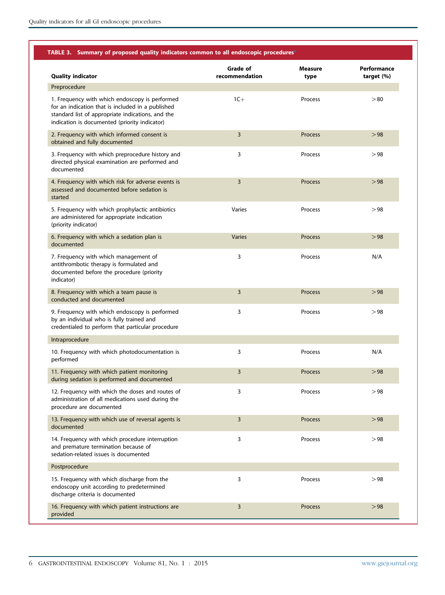<span id="page-3-0"></span>

| <b>Quality indicator</b>                                                                                                                                                                                  | Grade of<br>recommendation | Measure<br>type | Performance<br>target (%) |
|-----------------------------------------------------------------------------------------------------------------------------------------------------------------------------------------------------------|----------------------------|-----------------|---------------------------|
| Preprocedure                                                                                                                                                                                              |                            |                 |                           |
| 1. Frequency with which endoscopy is performed<br>for an indication that is included in a published<br>standard list of appropriate indications, and the<br>indication is documented (priority indicator) | $1C+$                      | Process         | > 80                      |
| 2. Frequency with which informed consent is<br>obtained and fully documented                                                                                                                              | 3                          | Process         | > 98                      |
| 3. Frequency with which preprocedure history and<br>directed physical examination are performed and<br>documented                                                                                         | 3                          | Process         | > 98                      |
| 4. Frequency with which risk for adverse events is<br>assessed and documented before sedation is<br>started                                                                                               | 3                          | <b>Process</b>  | > 98                      |
| 5. Frequency with which prophylactic antibiotics<br>are administered for appropriate indication<br>(priority indicator)                                                                                   | Varies                     | Process         | > 98                      |
| 6. Frequency with which a sedation plan is<br>documented                                                                                                                                                  | Varies                     | Process         | > 98                      |
| 7. Frequency with which management of<br>antithrombotic therapy is formulated and<br>documented before the procedure (priority<br>indicator)                                                              | 3                          | Process         | N/A                       |
| 8. Frequency with which a team pause is<br>conducted and documented                                                                                                                                       | 3                          | Process         | > 98                      |
| 9. Frequency with which endoscopy is performed<br>by an individual who is fully trained and<br>credentialed to perform that particular procedure                                                          | 3                          | Process         | > 98                      |
| Intraprocedure                                                                                                                                                                                            |                            |                 |                           |
| 10. Frequency with which photodocumentation is<br>performed                                                                                                                                               | 3                          | Process         | N/A                       |
| 11. Frequency with which patient monitoring<br>during sedation is performed and documented                                                                                                                | 3                          | Process         | > 98                      |
| 12. Frequency with which the doses and routes of<br>administration of all medications used during the<br>procedure are documented                                                                         | 3                          | Process         | > 98                      |
| 13. Frequency with which use of reversal agents is<br>documented                                                                                                                                          | 3                          | Process         | > 98                      |
| 14. Frequency with which procedure interruption<br>and premature termination because of<br>sedation-related issues is documented                                                                          | 3                          | Process         | > 98                      |
| Postprocedure                                                                                                                                                                                             |                            |                 |                           |
| 15. Frequency with which discharge from the<br>endoscopy unit according to predetermined<br>discharge criteria is documented                                                                              | 3                          | Process         | > 98                      |
| 16. Frequency with which patient instructions are<br>provided                                                                                                                                             | 3                          | Process         | > 98                      |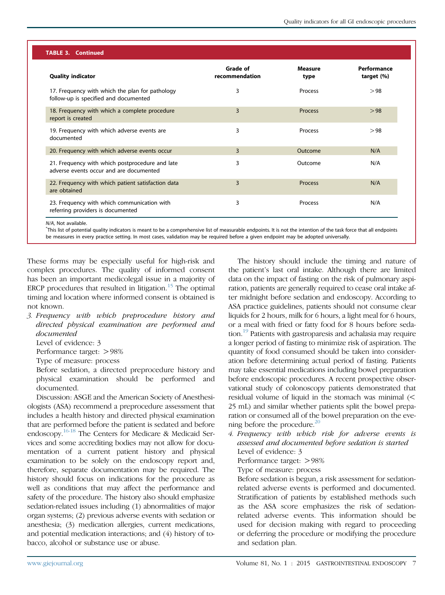<span id="page-4-0"></span>

| <b>Quality indicator</b>                                                                   | Grade of<br>recommendation | Measure<br>type | Performance<br>target (%) |
|--------------------------------------------------------------------------------------------|----------------------------|-----------------|---------------------------|
| 17. Frequency with which the plan for pathology<br>follow-up is specified and documented   | 3                          | Process         | > 98                      |
| 18. Frequency with which a complete procedure<br>report is created                         | 3                          | Process         | > 98                      |
| 19. Frequency with which adverse events are<br>documented                                  | 3                          | Process         | > 98                      |
| 20. Frequency with which adverse events occur                                              | 3                          | Outcome         | N/A                       |
| 21. Frequency with which postprocedure and late<br>adverse events occur and are documented | 3                          | Outcome         | N/A                       |
| 22. Frequency with which patient satisfaction data<br>are obtained                         | 3                          | Process         | N/A                       |
| 23. Frequency with which communication with<br>referring providers is documented           | 3                          | Process         | N/A                       |

 $N/A$ , Not available.

This list of potential quality indicators is meant to be a comprehensive list of measurable endpoints. It is not the intention of the task force that all endpoints be measures in every practice setting. In most cases, validation may be required before a given endpoint may be adopted universally.

These forms may be especially useful for high-risk and complex procedures. The quality of informed consent has been an important medicolegal issue in a majority of ERCP procedures that resulted in litigation.<sup>[15](#page-12-0)</sup> The optimal timing and location where informed consent is obtained is not known.

- 3. Frequency with which preprocedure history and directed physical examination are performed and documented
	- Level of evidence: 3

Performance target: > 98%

- Type of measure: process
- Before sedation, a directed preprocedure history and physical examination should be performed and documented.

Discussion: ASGE and the American Society of Anesthesiologists (ASA) recommend a preprocedure assessment that includes a health history and directed physical examination that are performed before the patient is sedated and before endoscopy.<sup>16-18</sup> The Centers for Medicare & Medicaid Services and some accrediting bodies may not allow for documentation of a current patient history and physical examination to be solely on the endoscopy report and, therefore, separate documentation may be required. The history should focus on indications for the procedure as well as conditions that may affect the performance and safety of the procedure. The history also should emphasize sedation-related issues including (1) abnormalities of major organ systems; (2) previous adverse events with sedation or anesthesia; (3) medication allergies, current medications, and potential medication interactions; and (4) history of tobacco, alcohol or substance use or abuse.

The history should include the timing and nature of the patient's last oral intake. Although there are limited data on the impact of fasting on the risk of pulmonary aspiration, patients are generally required to cease oral intake after midnight before sedation and endoscopy. According to ASA practice guidelines, patients should not consume clear liquids for 2 hours, milk for 6 hours, a light meal for 6 hours, or a meal with fried or fatty food for 8 hours before sedation[.19](#page-12-0) Patients with gastroparesis and achalasia may require a longer period of fasting to minimize risk of aspiration. The quantity of food consumed should be taken into consideration before determining actual period of fasting. Patients may take essential medications including bowel preparation before endoscopic procedures. A recent prospective observational study of colonoscopy patients demonstrated that residual volume of liquid in the stomach was minimal  $\ll$ 25 mL) and similar whether patients split the bowel preparation or consumed all of the bowel preparation on the eve-ning before the procedure.<sup>[20](#page-12-0)</sup>

4. Frequency with which risk for adverse events is assessed and documented before sedation is started Level of evidence: 3

Performance target: > 98%

Type of measure: process

Before sedation is begun, a risk assessment for sedationrelated adverse events is performed and documented. Stratification of patients by established methods such as the ASA score emphasizes the risk of sedationrelated adverse events. This information should be used for decision making with regard to proceeding or deferring the procedure or modifying the procedure and sedation plan.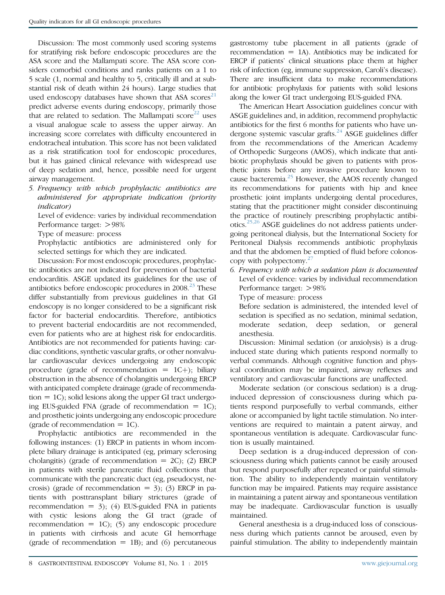Discussion: The most commonly used scoring systems for stratifying risk before endoscopic procedures are the ASA score and the Mallampati score. The ASA score considers comorbid conditions and ranks patients on a 1 to 5 scale (1, normal and healthy to 5, critically ill and at substantial risk of death within 24 hours). Large studies that used endoscopy databases have shown that ASA scores<sup>[21](#page-12-0)</sup> predict adverse events during endoscopy, primarily those that are related to sedation. The Mallampati score<sup>[22](#page-12-0)</sup> uses a visual analogue scale to assess the upper airway. An increasing score correlates with difficulty encountered in endotracheal intubation. This score has not been validated as a risk stratification tool for endoscopic procedures, but it has gained clinical relevance with widespread use of deep sedation and, hence, possible need for urgent airway management.

5. Frequency with which prophylactic antibiotics are administered for appropriate indication (priority indicator)

Level of evidence: varies by individual recommendation Performance target: > 98%

Type of measure: process

Prophylactic antibiotics are administered only for selected settings for which they are indicated.

Discussion: For most endoscopic procedures, prophylactic antibiotics are not indicated for prevention of bacterial endocarditis. ASGE updated its guidelines for the use of antibiotics before endoscopic procedures in  $2008.<sup>23</sup>$  $2008.<sup>23</sup>$  $2008.<sup>23</sup>$  These differ substantially from previous guidelines in that GI endoscopy is no longer considered to be a significant risk factor for bacterial endocarditis. Therefore, antibiotics to prevent bacterial endocarditis are not recommended, even for patients who are at highest risk for endocarditis. Antibiotics are not recommended for patients having: cardiac conditions, synthetic vascular grafts, or other nonvalvular cardiovascular devices undergoing any endoscopic procedure (grade of recommendation  $= 1C +$ ); biliary obstruction in the absence of cholangitis undergoing ERCP with anticipated complete drainage (grade of recommenda $tion = 1C$ ; solid lesions along the upper GI tract undergoing EUS-guided FNA (grade of recommendation  $= 1C$ ); and prosthetic joints undergoing any endoscopic procedure (grade of recommendation  $= 1C$ ).

Prophylactic antibiotics are recommended in the following instances: (1) ERCP in patients in whom incomplete biliary drainage is anticipated (eg, primary sclerosing cholangitis) (grade of recommendation  $= 2C$ ); (2) ERCP in patients with sterile pancreatic fluid collections that communicate with the pancreatic duct (eg, pseudocyst, necrosis) (grade of recommendation  $=$  3); (3) ERCP in patients with posttransplant biliary strictures (grade of recommendation =  $3$ ); (4) EUS-guided FNA in patients with cystic lesions along the GI tract (grade of recommendation  $= 1C$ ; (5) any endoscopic procedure in patients with cirrhosis and acute GI hemorrhage (grade of recommendation  $= 1B$ ); and (6) percutaneous gastrostomy tube placement in all patients (grade of recommendation  $=$  1A). Antibiotics may be indicated for ERCP if patients' clinical situations place them at higher risk of infection (eg, immune suppression, Caroli's disease). There are insufficient data to make recommendations for antibiotic prophylaxis for patients with solid lesions along the lower GI tract undergoing EUS-guided FNA.

The American Heart Association guidelines concur with ASGE guidelines and, in addition, recommend prophylactic antibiotics for the first 6 months for patients who have undergone systemic vascular grafts. $^{24}$  $^{24}$  $^{24}$  ASGE guidelines differ from the recommendations of the American Academy of Orthopedic Surgeons (AAOS), which indicate that antibiotic prophylaxis should be given to patients with prosthetic joints before any invasive procedure known to cause bacteremia.<sup>[25](#page-12-0)</sup> However, the AAOS recently changed its recommendations for patients with hip and knee prosthetic joint implants undergoing dental procedures, stating that the practitioner might consider discontinuing the practice of routinely prescribing prophylactic antibiotics.[25,26](#page-12-0) ASGE guidelines do not address patients undergoing peritoneal dialysis, but the International Society for Peritoneal Dialysis recommends antibiotic prophylaxis and that the abdomen be emptied of fluid before colonoscopy with polypectomy. $^{2}$ 

6. Frequency with which a sedation plan is documented Level of evidence: varies by individual recommendation Performance target: > 98%

Type of measure: process

Before sedation is administered, the intended level of sedation is specified as no sedation, minimal sedation, moderate sedation, deep sedation, or general anesthesia.

Discussion: Minimal sedation (or anxiolysis) is a druginduced state during which patients respond normally to verbal commands. Although cognitive function and physical coordination may be impaired, airway reflexes and ventilatory and cardiovascular functions are unaffected.

Moderate sedation (or conscious sedation) is a druginduced depression of consciousness during which patients respond purposefully to verbal commands, either alone or accompanied by light tactile stimulation. No interventions are required to maintain a patent airway, and spontaneous ventilation is adequate. Cardiovascular function is usually maintained.

Deep sedation is a drug-induced depression of consciousness during which patients cannot be easily aroused but respond purposefully after repeated or painful stimulation. The ability to independently maintain ventilatory function may be impaired. Patients may require assistance in maintaining a patent airway and spontaneous ventilation may be inadequate. Cardiovascular function is usually maintained.

General anesthesia is a drug-induced loss of consciousness during which patients cannot be aroused, even by painful stimulation. The ability to independently maintain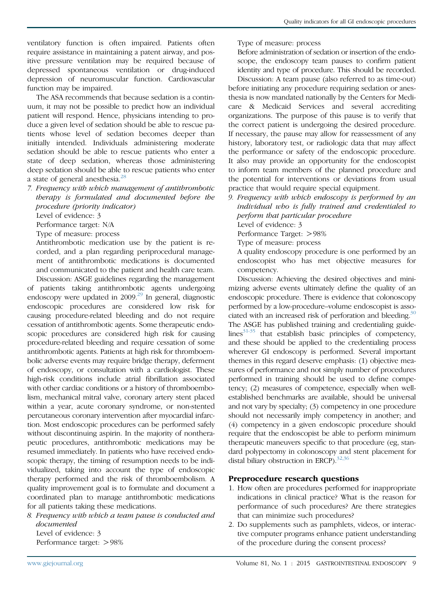ventilatory function is often impaired. Patients often require assistance in maintaining a patent airway, and positive pressure ventilation may be required because of depressed spontaneous ventilation or drug-induced depression of neuromuscular function. Cardiovascular function may be impaired.

The ASA recommends that because sedation is a continuum, it may not be possible to predict how an individual patient will respond. Hence, physicians intending to produce a given level of sedation should be able to rescue patients whose level of sedation becomes deeper than initially intended. Individuals administering moderate sedation should be able to rescue patients who enter a state of deep sedation, whereas those administering deep sedation should be able to rescue patients who enter a state of general anesthesia.[28](#page-12-0)

7. Frequency with which management of antithrombotic therapy is formulated and documented before the procedure (priority indicator)

Level of evidence: 3

Performance target: N/A

Type of measure: process

Antithrombotic medication use by the patient is recorded, and a plan regarding periprocedural management of antithrombotic medications is documented and communicated to the patient and health care team.

Discussion: ASGE guidelines regarding the management of patients taking antithrombotic agents undergoing endoscopy were updated in 2009.<sup>29</sup> In general, diagnostic endoscopic procedures are considered low risk for causing procedure-related bleeding and do not require cessation of antithrombotic agents. Some therapeutic endoscopic procedures are considered high risk for causing procedure-related bleeding and require cessation of some antithrombotic agents. Patients at high risk for thromboembolic adverse events may require bridge therapy, deferment of endoscopy, or consultation with a cardiologist. These high-risk conditions include atrial fibrillation associated with other cardiac conditions or a history of thromboembolism, mechanical mitral valve, coronary artery stent placed within a year, acute coronary syndrome, or non-stented percutaneous coronary intervention after myocardial infarction. Most endoscopic procedures can be performed safely without discontinuing aspirin. In the majority of nontherapeutic procedures, antithrombotic medications may be resumed immediately. In patients who have received endoscopic therapy, the timing of resumption needs to be individualized, taking into account the type of endoscopic therapy performed and the risk of thromboembolism. A quality improvement goal is to formulate and document a coordinated plan to manage antithrombotic medications for all patients taking these medications.

8. Frequency with which a team pause is conducted and documented Level of evidence: 3

Performance target: > 98%

Type of measure: process

Before administration of sedation or insertion of the endoscope, the endoscopy team pauses to confirm patient identity and type of procedure. This should be recorded.

Discussion: A team pause (also referred to as time-out) before initiating any procedure requiring sedation or anesthesia is now mandated nationally by the Centers for Medicare & Medicaid Services and several accrediting organizations. The purpose of this pause is to verify that the correct patient is undergoing the desired procedure. If necessary, the pause may allow for reassessment of any history, laboratory test, or radiologic data that may affect the performance or safety of the endoscopic procedure. It also may provide an opportunity for the endoscopist to inform team members of the planned procedure and the potential for interventions or deviations from usual practice that would require special equipment.

9. Frequency with which endoscopy is performed by an individual who is fully trained and credentialed to perform that particular procedure Level of evidence: 3

Performance Target: > 98%

Type of measure: process

A quality endoscopy procedure is one performed by an endoscopist who has met objective measures for competency.

Discussion: Achieving the desired objectives and minimizing adverse events ultimately define the quality of an endoscopic procedure. There is evidence that colonoscopy performed by a low-procedure–volume endoscopist is associated with an increased risk of perforation and bleeding. $30$ The ASGE has published training and credentialing guidelines $31-35$  that establish basic principles of competency, and these should be applied to the credentialing process wherever GI endoscopy is performed. Several important themes in this regard deserve emphasis: (1) objective measures of performance and not simply number of procedures performed in training should be used to define competency; (2) measures of competence, especially when wellestablished benchmarks are available, should be universal and not vary by specialty; (3) competency in one procedure should not necessarily imply competency in another; and (4) competency in a given endoscopic procedure should require that the endoscopist be able to perform minimum therapeutic maneuvers specific to that procedure (eg, standard polypectomy in colonoscopy and stent placement for distal biliary obstruction in ERCP). $32,36$ 

# Preprocedure research questions

- 1. How often are procedures performed for inappropriate indications in clinical practice? What is the reason for performance of such procedures? Are there strategies that can minimize such procedures?
- 2. Do supplements such as pamphlets, videos, or interactive computer programs enhance patient understanding of the procedure during the consent process?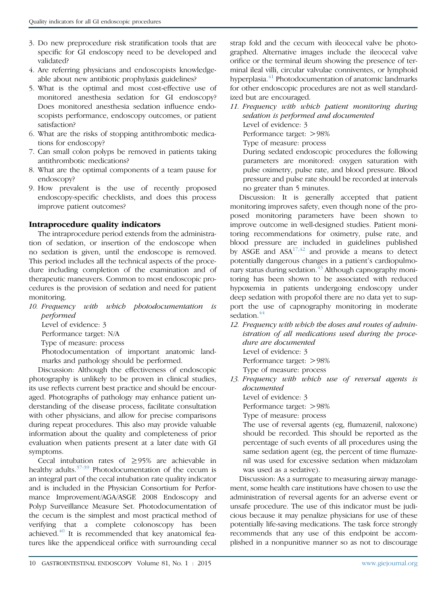- 3. Do new preprocedure risk stratification tools that are specific for GI endoscopy need to be developed and validated?
- 4. Are referring physicians and endoscopists knowledgeable about new antibiotic prophylaxis guidelines?
- 5. What is the optimal and most cost-effective use of monitored anesthesia sedation for GI endoscopy? Does monitored anesthesia sedation influence endoscopists performance, endoscopy outcomes, or patient satisfaction?
- 6. What are the risks of stopping antithrombotic medications for endoscopy?
- 7. Can small colon polyps be removed in patients taking antithrombotic medications?
- 8. What are the optimal components of a team pause for endoscopy?
- 9. How prevalent is the use of recently proposed endoscopy-specific checklists, and does this process improve patient outcomes?

# Intraprocedure quality indicators

The intraprocedure period extends from the administration of sedation, or insertion of the endoscope when no sedation is given, until the endoscope is removed. This period includes all the technical aspects of the procedure including completion of the examination and of therapeutic maneuvers. Common to most endoscopic procedures is the provision of sedation and need for patient monitoring.

- 10. Frequency with which photodocumentation is performed
	- Level of evidence: 3

Performance target: N/A

Type of measure: process

Photodocumentation of important anatomic landmarks and pathology should be performed.

Discussion: Although the effectiveness of endoscopic photography is unlikely to be proven in clinical studies, its use reflects current best practice and should be encouraged. Photographs of pathology may enhance patient understanding of the disease process, facilitate consultation with other physicians, and allow for precise comparisons during repeat procedures. This also may provide valuable information about the quality and completeness of prior evaluation when patients present at a later date with GI symptoms.

Cecal intubation rates of  $\geq$ 95% are achievable in healthy adults. $37-39$  Photodocumentation of the cecum is an integral part of the cecal intubation rate quality indicator and is included in the Physician Consortium for Performance Improvement/AGA/ASGE 2008 Endoscopy and Polyp Surveillance Measure Set. Photodocumentation of the cecum is the simplest and most practical method of verifying that a complete colonoscopy has been achieved.<sup>[40](#page-12-0)</sup> It is recommended that key anatomical features like the appendiceal orifice with surrounding cecal strap fold and the cecum with ileocecal valve be photographed. Alternative images include the ileocecal valve orifice or the terminal ileum showing the presence of terminal ileal villi, circular valvulae conniventes, or lymphoid hyperplasia.<sup>[41](#page-12-0)</sup> Photodocumentation of anatomic landmarks for other endoscopic procedures are not as well standardized but are encouraged.

11. Frequency with which patient monitoring during sedation is performed and documented Level of evidence: 3 Performance target:  $>98\%$ Type of measure: process During sedated endoscopic procedures the following

parameters are monitored: oxygen saturation with pulse oximetry, pulse rate, and blood pressure. Blood pressure and pulse rate should be recorded at intervals no greater than 5 minutes.

Discussion: It is generally accepted that patient monitoring improves safety, even though none of the proposed monitoring parameters have been shown to improve outcome in well-designed studies. Patient monitoring recommendations for oximetry, pulse rate, and blood pressure are included in guidelines published by ASGE and  $ASA^{17,42}$  $ASA^{17,42}$  $ASA^{17,42}$  and provide a means to detect potentially dangerous changes in a patient's cardiopulmo-nary status during sedation.<sup>[43](#page-12-0)</sup> Although capnography monitoring has been shown to be associated with reduced hypoxemia in patients undergoing endoscopy under deep sedation with propofol there are no data yet to support the use of capnography monitoring in moderate sedation.<sup>[44](#page-13-0)</sup>

- 12. Frequency with which the doses and routes of administration of all medications used during the procedure are documented Level of evidence: 3 Performance target:  $>98\%$ Type of measure: process
- 13. Frequency with which use of reversal agents is documented
	- Level of evidence: 3

Performance target:  $>98\%$ 

Type of measure: process

The use of reversal agents (eg, flumazenil, naloxone) should be recorded. This should be reported as the percentage of such events of all procedures using the same sedation agent (eg, the percent of time flumazenil was used for excessive sedation when midazolam was used as a sedative).

Discussion: As a surrogate to measuring airway management, some health care institutions have chosen to use the administration of reversal agents for an adverse event or unsafe procedure. The use of this indicator must be judicious because it may penalize physicians for use of these potentially life-saving medications. The task force strongly recommends that any use of this endpoint be accomplished in a nonpunitive manner so as not to discourage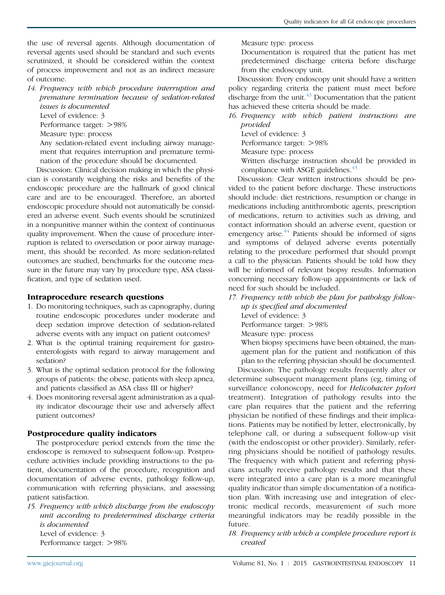the use of reversal agents. Although documentation of reversal agents used should be standard and such events scrutinized, it should be considered within the context of process improvement and not as an indirect measure of outcome.

- 14. Frequency with which procedure interruption and premature termination because of sedation-related issues is documented
	- Level of evidence: 3

Performance target:  $>98\%$ 

Measure type: process

Any sedation-related event including airway management that requires interruption and premature termination of the procedure should be documented.

Discussion: Clinical decision making in which the physician is constantly weighing the risks and benefits of the endoscopic procedure are the hallmark of good clinical care and are to be encouraged. Therefore, an aborted endoscopic procedure should not automatically be considered an adverse event. Such events should be scrutinized in a nonpunitive manner within the context of continuous quality improvement. When the cause of procedure interruption is related to oversedation or poor airway management, this should be recorded. As more sedation-related outcomes are studied, benchmarks for the outcome measure in the future may vary by procedure type, ASA classification, and type of sedation used.

# Intraprocedure research questions

- 1. Do monitoring techniques, such as capnography, during routine endoscopic procedures under moderate and deep sedation improve detection of sedation-related adverse events with any impact on patient outcomes?
- 2. What is the optimal training requirement for gastroenterologists with regard to airway management and sedation?
- 3. What is the optimal sedation protocol for the following groups of patients: the obese, patients with sleep apnea, and patients classified as ASA class III or higher?
- 4. Does monitoring reversal agent administration as a quality indicator discourage their use and adversely affect patient outcomes?

# Postprocedure quality indicators

The postprocedure period extends from the time the endoscope is removed to subsequent follow-up. Postprocedure activities include providing instructions to the patient, documentation of the procedure, recognition and documentation of adverse events, pathology follow-up, communication with referring physicians, and assessing patient satisfaction.

15. Frequency with which discharge from the endoscopy unit according to predetermined discharge criteria is documented Level of evidence: 3 Performance target:  $>98\%$ 

Measure type: process

Documentation is required that the patient has met predetermined discharge criteria before discharge from the endoscopy unit.

Discussion: Every endoscopy unit should have a written policy regarding criteria the patient must meet before discharge from the unit. $43$  Documentation that the patient has achieved these criteria should be made.

16. Frequency with which patient instructions are provided

Level of evidence: 3 Performance target: > 98%

Measure type: process

Written discharge instruction should be provided in compliance with ASGE guidelines.<sup>45</sup>

Discussion: Clear written instructions should be provided to the patient before discharge. These instructions should include: diet restrictions, resumption or change in medications including antithrombotic agents, prescription of medications, return to activities such as driving, and contact information should an adverse event, question or emergency arise.<sup>[44](#page-13-0)</sup> Patients should be informed of signs and symptoms of delayed adverse events potentially relating to the procedure performed that should prompt a call to the physician. Patients should be told how they will be informed of relevant biopsy results. Information concerning necessary follow-up appointments or lack of need for such should be included.

17. Frequency with which the plan for pathology followup is specified and documented

Level of evidence: 3

Performance target: > 98%

Measure type: process

When biopsy specimens have been obtained, the management plan for the patient and notification of this plan to the referring physician should be documented.

Discussion: The pathology results frequently alter or determine subsequent management plans (eg, timing of surveillance colonoscopy, need for Helicobacter pylori treatment). Integration of pathology results into the care plan requires that the patient and the referring physician be notified of these findings and their implications. Patients may be notified by letter, electronically, by telephone call, or during a subsequent follow-up visit (with the endoscopist or other provider). Similarly, referring physicians should be notified of pathology results. The frequency with which patient and referring physicians actually receive pathology results and that these were integrated into a care plan is a more meaningful quality indicator than simple documentation of a notification plan. With increasing use and integration of electronic medical records, measurement of such more meaningful indicators may be readily possible in the future.

18. Frequency with which a complete procedure report is created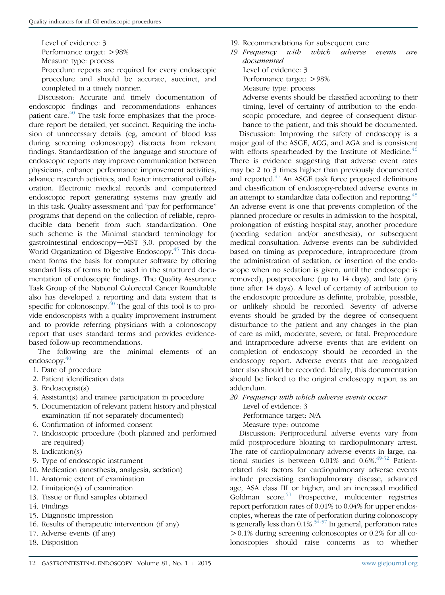Level of evidence: 3

Performance target: > 98%

Measure type: process

Procedure reports are required for every endoscopic procedure and should be accurate, succinct, and completed in a timely manner.

Discussion: Accurate and timely documentation of endoscopic findings and recommendations enhances patient care. $40$  The task force emphasizes that the procedure report be detailed, yet succinct. Requiring the inclusion of unnecessary details (eg, amount of blood loss during screening colonoscopy) distracts from relevant findings. Standardization of the language and structure of endoscopic reports may improve communication between physicians, enhance performance improvement activities, advance research activities, and foster international collaboration. Electronic medical records and computerized endoscopic report generating systems may greatly aid in this task. Quality assessment and "pay for performance" programs that depend on the collection of reliable, reproducible data benefit from such standardization. One such scheme is the Minimal standard terminology for gastrointestinal endoscopy—MST 3.0. proposed by the World Organization of Digestive Endoscopy.<sup>[45](#page-13-0)</sup> This document forms the basis for computer software by offering standard lists of terms to be used in the structured documentation of endoscopic findings. The Quality Assurance Task Group of the National Colorectal Cancer Roundtable also has developed a reporting and data system that is specific for colonoscopy. $40$  The goal of this tool is to provide endoscopists with a quality improvement instrument and to provide referring physicians with a colonoscopy report that uses standard terms and provides evidencebased follow-up recommendations.

The following are the minimal elements of an endoscopy.<sup>[40](#page-12-0)</sup>

- 1. Date of procedure
- 2. Patient identification data
- 3. Endoscopist(s)
- 4. Assistant(s) and trainee participation in procedure
- 5. Documentation of relevant patient history and physical examination (if not separately documented)
- 6. Confirmation of informed consent
- 7. Endoscopic procedure (both planned and performed are required)
- 8. Indication(s)
- 9. Type of endoscopic instrument
- 10. Medication (anesthesia, analgesia, sedation)
- 11. Anatomic extent of examination
- 12. Limitation(s) of examination
- 13. Tissue or fluid samples obtained
- 14. Findings
- 15. Diagnostic impression
- 16. Results of therapeutic intervention (if any)
- 17. Adverse events (if any)
- 18. Disposition
- 19. Recommendations for subsequent care
- 19. Frequency with which adverse events are documented

Level of evidence: 3

Performance target:  $>98\%$ 

Measure type: process

Adverse events should be classified according to their timing, level of certainty of attribution to the endoscopic procedure, and degree of consequent disturbance to the patient, and this should be documented.

Discussion: Improving the safety of endoscopy is a major goal of the ASGE, ACG, and AGA and is consistent with efforts spearheaded by the Institute of Medicine.<sup>[46](#page-13-0)</sup> There is evidence suggesting that adverse event rates may be 2 to 3 times higher than previously documented and reported.<sup>[47](#page-13-0)</sup> An ASGE task force proposed definitions and classification of endoscopy-related adverse events in an attempt to standardize data collection and reporting.<sup>[48](#page-13-0)</sup> An adverse event is one that prevents completion of the planned procedure or results in admission to the hospital, prolongation of existing hospital stay, another procedure (needing sedation and/or anesthesia), or subsequent medical consultation. Adverse events can be subdivided based on timing as preprocedure, intraprocedure (from the administration of sedation, or insertion of the endoscope when no sedation is given, until the endoscope is removed), postprocedure (up to 14 days), and late (any time after 14 days). A level of certainty of attribution to the endoscopic procedure as definite, probable, possible, or unlikely should be recorded. Severity of adverse events should be graded by the degree of consequent disturbance to the patient and any changes in the plan of care as mild, moderate, severe, or fatal. Preprocedure and intraprocedure adverse events that are evident on completion of endoscopy should be recorded in the endoscopy report. Adverse events that are recognized later also should be recorded. Ideally, this documentation should be linked to the original endoscopy report as an addendum.

20. Frequency with which adverse events occur Level of evidence: 3

Performance target: N/A

Measure type: outcome

Discussion: Periprocedural adverse events vary from mild postprocedure bloating to cardiopulmonary arrest. The rate of cardiopulmonary adverse events in large, national studies is between  $0.01\%$  and  $0.6\%$ .<sup>[49-52](#page-13-0)</sup> Patientrelated risk factors for cardiopulmonary adverse events include preexisting cardiopulmonary disease, advanced age, ASA class III or higher, and an increased modified Goldman score.[53](#page-13-0) Prospective, multicenter registries report perforation rates of 0.01% to 0.04% for upper endoscopies, whereas the rate of perforation during colonoscopy is generally less than  $0.1\%$ <sup>[54-57](#page-13-0)</sup> In general, perforation rates  $> 0.1\%$  during screening colonoscopies or 0.2% for all colonoscopies should raise concerns as to whether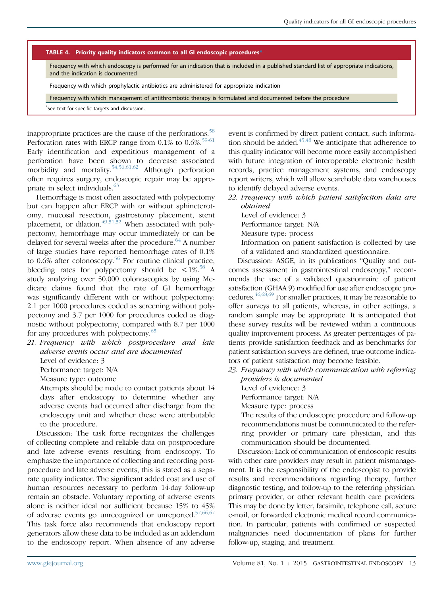#### <span id="page-10-0"></span>TABLE 4. Priority quality indicators common to all GI endoscopic procedures\*

Frequency with which endoscopy is performed for an indication that is included in a published standard list of appropriate indications, and the indication is documented

Frequency with which prophylactic antibiotics are administered for appropriate indication

Frequency with which management of antithrombotic therapy is formulated and documented before the procedure

\* See text for specific targets and discussion.

inappropriate practices are the cause of the perforations.<sup>[58](#page-13-0)</sup> Perforation rates with ERCP range from  $0.1\%$  to  $0.6\%$ .<sup>[59-61](#page-13-0)</sup> Early identification and expeditious management of a perforation have been shown to decrease associated morbidity and mortality.[54,56,61,62](#page-13-0) Although perforation often requires surgery, endoscopic repair may be appropriate in select individuals.<sup>63</sup>

Hemorrhage is most often associated with polypectomy but can happen after ERCP with or without sphincterotomy, mucosal resection, gastrostomy placement, stent placement, or dilation.<sup>[49,51,52](#page-13-0)</sup> When associated with polypectomy, hemorrhage may occur immediately or can be delayed for several weeks after the procedure.<sup>[64](#page-13-0)</sup> A number of large studies have reported hemorrhage rates of 0.1% to 0.6% after colonoscopy.<sup>[56](#page-13-0)</sup> For routine clinical practice, bleeding rates for polypectomy should be  $\lt 1\%$ <sup>[58](#page-13-0)</sup> A study analyzing over 50,000 colonoscopies by using Medicare claims found that the rate of GI hemorrhage was significantly different with or without polypectomy: 2.1 per 1000 procedures coded as screening without polypectomy and 3.7 per 1000 for procedures coded as diagnostic without polypectomy, compared with 8.7 per 1000 for any procedures with polypectomy.<sup>[65](#page-13-0)</sup>

21. Frequency with which postprocedure and late adverse events occur and are documented

Level of evidence: 3

Performance target: N/A

Measure type: outcome

Attempts should be made to contact patients about 14 days after endoscopy to determine whether any adverse events had occurred after discharge from the endoscopy unit and whether these were attributable to the procedure.

Discussion: The task force recognizes the challenges of collecting complete and reliable data on postprocedure and late adverse events resulting from endoscopy. To emphasize the importance of collecting and recording postprocedure and late adverse events, this is stated as a separate quality indicator. The significant added cost and use of human resources necessary to perform 14-day follow-up remain an obstacle. Voluntary reporting of adverse events alone is neither ideal nor sufficient because 15% to 45% of adverse events go unrecognized or unreported.<sup>[57,66,67](#page-13-0)</sup> This task force also recommends that endoscopy report generators allow these data to be included as an addendum to the endoscopy report. When absence of any adverse

event is confirmed by direct patient contact, such information should be added. $45,48$  We anticipate that adherence to this quality indicator will become more easily accomplished with future integration of interoperable electronic health records, practice management systems, and endoscopy report writers, which will allow searchable data warehouses to identify delayed adverse events.

22. Frequency with which patient satisfaction data are obtained

Level of evidence: 3

Performance target: N/A Measure type: process

Information on patient satisfaction is collected by use of a validated and standardized questionnaire.

Discussion: ASGE, in its publications "Quality and outcomes assessment in gastrointestinal endoscopy," recommends the use of a validated questionnaire of patient satisfaction (GHAA 9) modified for use after endoscopic procedures.[46,68,69](#page-13-0) For smaller practices, it may be reasonable to offer surveys to all patients, whereas, in other settings, a random sample may be appropriate. It is anticipated that these survey results will be reviewed within a continuous quality improvement process. As greater percentages of patients provide satisfaction feedback and as benchmarks for patient satisfaction surveys are defined, true outcome indicators of patient satisfaction may become feasible.

23. Frequency with which communication with referring providers is documented

Level of evidence: 3

Performance target: N/A

Measure type: process

The results of the endoscopic procedure and follow-up recommendations must be communicated to the referring provider or primary care physician, and this communication should be documented.

Discussion: Lack of communication of endoscopic results with other care providers may result in patient mismanagement. It is the responsibility of the endoscopist to provide results and recommendations regarding therapy, further diagnostic testing, and follow-up to the referring physician, primary provider, or other relevant health care providers. This may be done by letter, facsimile, telephone call, secure e-mail, or forwarded electronic medical record communication. In particular, patients with confirmed or suspected malignancies need documentation of plans for further follow-up, staging, and treatment.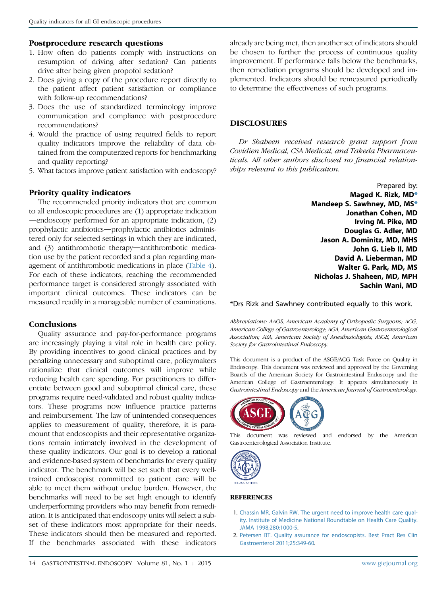### <span id="page-11-0"></span>Postprocedure research questions

- 1. How often do patients comply with instructions on resumption of driving after sedation? Can patients drive after being given propofol sedation?
- 2. Does giving a copy of the procedure report directly to the patient affect patient satisfaction or compliance with follow-up recommendations?
- 3. Does the use of standardized terminology improve communication and compliance with postprocedure recommendations?
- 4. Would the practice of using required fields to report quality indicators improve the reliability of data obtained from the computerized reports for benchmarking and quality reporting?
- 5. What factors improve patient satisfaction with endoscopy?

### Priority quality indicators

The recommended priority indicators that are common to all endoscopic procedures are (1) appropriate indication -endoscopy performed for an appropriate indication, (2) prophylactic antibiotics—prophylactic antibiotics administered only for selected settings in which they are indicated, and  $(3)$  antithrombotic therapy—antithrombotic medication use by the patient recorded and a plan regarding management of antithrombotic medications in place [\(Table 4](#page-10-0)). For each of these indicators, reaching the recommended performance target is considered strongly associated with important clinical outcomes. These indicators can be measured readily in a manageable number of examinations.

### **Conclusions**

Quality assurance and pay-for-performance programs are increasingly playing a vital role in health care policy. By providing incentives to good clinical practices and by penalizing unnecessary and suboptimal care, policymakers rationalize that clinical outcomes will improve while reducing health care spending. For practitioners to differentiate between good and suboptimal clinical care, these programs require need-validated and robust quality indicators. These programs now influence practice patterns and reimbursement. The law of unintended consequences applies to measurement of quality, therefore, it is paramount that endoscopists and their representative organizations remain intimately involved in the development of these quality indicators. Our goal is to develop a rational and evidence-based system of benchmarks for every quality indicator. The benchmark will be set such that every welltrained endoscopist committed to patient care will be able to meet them without undue burden. However, the benchmarks will need to be set high enough to identify underperforming providers who may benefit from remediation. It is anticipated that endoscopy units will select a subset of these indicators most appropriate for their needs. These indicators should then be measured and reported. If the benchmarks associated with these indicators

already are being met, then another set of indicators should be chosen to further the process of continuous quality improvement. If performance falls below the benchmarks, then remediation programs should be developed and implemented. Indicators should be remeasured periodically to determine the effectiveness of such programs.

### DISCLOSURES

Dr Shaheen received research grant support from Covidien Medical, CSA Medical, and Takeda Pharmaceuticals. All other authors disclosed no financial relationships relevant to this publication.

> Prepared by: Maged K. Rizk, MD\* Mandeep S. Sawhney, MD, MS\* Jonathan Cohen, MD Irving M. Pike, MD Douglas G. Adler, MD Jason A. Dominitz, MD, MHS John G. Lieb II, MD David A. Lieberman, MD Walter G. Park, MD, MS Nicholas J. Shaheen, MD, MPH Sachin Wani, MD

\*Drs Rizk and Sawhney contributed equally to this work.

Abbreviations: AAOS, American Academy of Orthopedic Surgeons; ACG, American College of Gastroenterology; AGA, American Gastroenterological Association; ASA, American Society of Anesthesiologists; ASGE, American Society for Gastrointestinal Endoscopy.

This document is a product of the ASGE/ACG Task Force on Quality in Endoscopy. This document was reviewed and approved by the Governing Boards of the American Society for Gastrointestinal Endoscopy and the American College of Gastroenterology. It appears simultaneously in Gastrointestinal Endoscopy and the American Journal of Gastroenterology.



This document was reviewed and endorsed by the American Gastroenterological Association Institute.



#### **REFERENCES**

- 1. [Chassin MR, Galvin RW. The urgent need to improve health care qual](http://refhub.elsevier.com/S0016-5107(14)02048-3/sref1)[ity. Institute of Medicine National Roundtable on Health Care Quality.](http://refhub.elsevier.com/S0016-5107(14)02048-3/sref1) [JAMA 1998;280:1000-5.](http://refhub.elsevier.com/S0016-5107(14)02048-3/sref1)
- 2. [Petersen BT. Quality assurance for endoscopists. Best Pract Res Clin](http://refhub.elsevier.com/S0016-5107(14)02048-3/sref2) [Gastroenterol 2011;25:349-60](http://refhub.elsevier.com/S0016-5107(14)02048-3/sref2).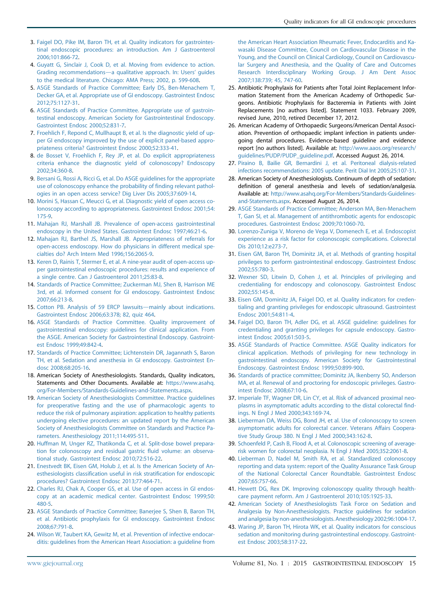- <span id="page-12-0"></span>3. [Faigel DO, Pike IM, Baron TH, et al. Quality indicators for gastrointes](http://refhub.elsevier.com/S0016-5107(14)02048-3/sref3)[tinal endoscopic procedures: an introduction. Am J Gastroenterol](http://refhub.elsevier.com/S0016-5107(14)02048-3/sref3) [2006;101:866-72.](http://refhub.elsevier.com/S0016-5107(14)02048-3/sref3)
- 4. [Guyatt G, Sinclair J, Cook D, et al. Moving from evidence to action.](http://refhub.elsevier.com/S0016-5107(14)02048-3/sref4) Grading recommendations-[a qualitative approach. In: Users](http://refhub.elsevier.com/S0016-5107(14)02048-3/sref4)' guides [to the medical literature. Chicago: AMA Press; 2002, p. 599-608](http://refhub.elsevier.com/S0016-5107(14)02048-3/sref4).
- 5. [ASGE Standards of Practice Committee; Early DS, Ben-Menachem T,](http://refhub.elsevier.com/S0016-5107(14)02048-3/sref6) [Decker GA, et al. Appropriate use of GI endoscopy. Gastrointest Endosc](http://refhub.elsevier.com/S0016-5107(14)02048-3/sref6) [2012;75:1127-31.](http://refhub.elsevier.com/S0016-5107(14)02048-3/sref6)
- 6. [ASGE Standards of Practice Committee. Appropriate use of gastroin](http://refhub.elsevier.com/S0016-5107(14)02048-3/sref5)[testinal endoscopy. American Society for Gastrointestinal Endoscopy.](http://refhub.elsevier.com/S0016-5107(14)02048-3/sref5) [Gastrointest Endosc 2000;52:831-7.](http://refhub.elsevier.com/S0016-5107(14)02048-3/sref5)
- 7. [Froehlich F, Repond C, Mullhaupt B, et al. Is the diagnostic yield of up](http://refhub.elsevier.com/S0016-5107(14)02048-3/sref7)[per GI endoscopy improved by the use of explicit panel-based appro](http://refhub.elsevier.com/S0016-5107(14)02048-3/sref7)[priateness criteria? Gastrointest Endosc 2000;52:333-41.](http://refhub.elsevier.com/S0016-5107(14)02048-3/sref7)
- 8. [de Bosset V, Froehlich F, Rey JP, et al. Do explicit appropriateness](http://refhub.elsevier.com/S0016-5107(14)02048-3/sref8) [criteria enhance the diagnostic yield of colonoscopy? Endoscopy](http://refhub.elsevier.com/S0016-5107(14)02048-3/sref8) [2002;34:360-8.](http://refhub.elsevier.com/S0016-5107(14)02048-3/sref8)
- 9. [Bersani G, Rossi A, Ricci G, et al. Do ASGE guidelines for the appropriate](http://refhub.elsevier.com/S0016-5107(14)02048-3/sref9) [use of colonoscopy enhance the probability of finding relevant pathol](http://refhub.elsevier.com/S0016-5107(14)02048-3/sref9)[ogies in an open access service? Dig Liver Dis 2005;37:609-14](http://refhub.elsevier.com/S0016-5107(14)02048-3/sref9).
- 10. [Morini S, Hassan C, Meucci G, et al. Diagnostic yield of open access co](http://refhub.elsevier.com/S0016-5107(14)02048-3/sref10)[lonoscopy according to appropriateness. Gastrointest Endosc 2001;54:](http://refhub.elsevier.com/S0016-5107(14)02048-3/sref10) [175-9](http://refhub.elsevier.com/S0016-5107(14)02048-3/sref10).
- 11. [Mahajan RJ, Marshall JB. Prevalence of open-access gastrointestinal](http://refhub.elsevier.com/S0016-5107(14)02048-3/sref11) [endoscopy in the United States. Gastrointest Endosc 1997;46:21-6](http://refhub.elsevier.com/S0016-5107(14)02048-3/sref11).
- 12. [Mahajan RJ, Barthel JS, Marshall JB. Appropriateness of referrals for](http://refhub.elsevier.com/S0016-5107(14)02048-3/sref12) [open-access endoscopy. How do physicians in different medical spe](http://refhub.elsevier.com/S0016-5107(14)02048-3/sref12)[cialties do? Arch Intern Med 1996;156:2065-9](http://refhub.elsevier.com/S0016-5107(14)02048-3/sref12).
- 13. [Keren D, Rainis T, Stermer E, et al. A nine-year audit of open-access up](http://refhub.elsevier.com/S0016-5107(14)02048-3/sref13)[per gastrointestinal endoscopic procedures: results and experience of](http://refhub.elsevier.com/S0016-5107(14)02048-3/sref13) [a single centre. Can J Gastroenterol 2011;25:83-8](http://refhub.elsevier.com/S0016-5107(14)02048-3/sref13).
- 14. [Standards of Practice Committee; Zuckerman MJ, Shen B, Harrison ME](http://refhub.elsevier.com/S0016-5107(14)02048-3/sref14) [3rd, et al. Informed consent for GI endoscopy. Gastrointest Endosc](http://refhub.elsevier.com/S0016-5107(14)02048-3/sref14) [2007;66:213-8.](http://refhub.elsevier.com/S0016-5107(14)02048-3/sref14)
- 15. [Cotton PB. Analysis of 59 ERCP lawsuits](http://refhub.elsevier.com/S0016-5107(14)02048-3/sref15)-mainly about indications. [Gastrointest Endosc 2006;63:378; 82, quiz 464.](http://refhub.elsevier.com/S0016-5107(14)02048-3/sref15)
- 16. [ASGE Standards of Practice Committee. Quality improvement of](http://refhub.elsevier.com/S0016-5107(14)02048-3/sref16) [gastrointestinal endoscopy: guidelines for clinical application. From](http://refhub.elsevier.com/S0016-5107(14)02048-3/sref16) [the ASGE. American Society for Gastrointestinal Endoscopy. Gastroint](http://refhub.elsevier.com/S0016-5107(14)02048-3/sref16)[est Endosc 1999;49:842-4](http://refhub.elsevier.com/S0016-5107(14)02048-3/sref16).
- 17. [Standards of Practice Committee; Lichtenstein DR, Jagannath S, Baron](http://refhub.elsevier.com/S0016-5107(14)02048-3/sref17) [TH, et al. Sedation and anesthesia in GI endoscopy. Gastrointest En](http://refhub.elsevier.com/S0016-5107(14)02048-3/sref17)[dosc 2008;68:205-16.](http://refhub.elsevier.com/S0016-5107(14)02048-3/sref17)
- 18. American Society of Anesthesiologists. Standards, Quality indicators, Statements and Other Documents. Available at: [https://www.asahq.](https://www.asahq.org/For-Members/Standards-Guidelines-and-Statements.aspx) [org/For-Members/Standards-Guidelines-and-Statements.aspx](https://www.asahq.org/For-Members/Standards-Guidelines-and-Statements.aspx).
- 19. [American Society of Anesthesiologists Committee. Practice guidelines](http://refhub.elsevier.com/S0016-5107(14)02048-3/sref18) [for preoperative fasting and the use of pharmacologic agents to](http://refhub.elsevier.com/S0016-5107(14)02048-3/sref18) [reduce the risk of pulmonary aspiration: application to healthy patients](http://refhub.elsevier.com/S0016-5107(14)02048-3/sref18) [undergoing elective procedures: an updated report by the American](http://refhub.elsevier.com/S0016-5107(14)02048-3/sref18) [Society of Anesthesiologists Committee on Standards and Practice Pa](http://refhub.elsevier.com/S0016-5107(14)02048-3/sref18)[rameters. Anesthesiology 2011;114:495-511.](http://refhub.elsevier.com/S0016-5107(14)02048-3/sref18)
- 20. [Huffman M, Unger RZ, Thatikonda C, et al. Split-dose bowel prepara](http://refhub.elsevier.com/S0016-5107(14)02048-3/sref19)[tion for colonoscopy and residual gastric fluid volume: an observa](http://refhub.elsevier.com/S0016-5107(14)02048-3/sref19)[tional study. Gastrointest Endosc 2010;72:516-22.](http://refhub.elsevier.com/S0016-5107(14)02048-3/sref19)
- 21. [Enestvedt BK, Eisen GM, Holub J, et al. Is the American Society of An](http://refhub.elsevier.com/S0016-5107(14)02048-3/sref20)[esthesiologists classification useful in risk stratification for endoscopic](http://refhub.elsevier.com/S0016-5107(14)02048-3/sref20) [procedures? Gastrointest Endosc 2013;77:464-71.](http://refhub.elsevier.com/S0016-5107(14)02048-3/sref20)
- 22. [Charles RJ, Chak A, Cooper GS, et al. Use of open access in GI endos](http://refhub.elsevier.com/S0016-5107(14)02048-3/sref21)[copy at an academic medical center. Gastrointest Endosc 1999;50:](http://refhub.elsevier.com/S0016-5107(14)02048-3/sref21) [480-5](http://refhub.elsevier.com/S0016-5107(14)02048-3/sref21).
- 23. [ASGE Standards of Practice Committee; Banerjee S, Shen B, Baron TH,](http://refhub.elsevier.com/S0016-5107(14)02048-3/sref22) [et al. Antibiotic prophylaxis for GI endoscopy. Gastrointest Endosc](http://refhub.elsevier.com/S0016-5107(14)02048-3/sref22) [2008;67:791-8.](http://refhub.elsevier.com/S0016-5107(14)02048-3/sref22)
- 24. [Wilson W, Taubert KA, Gewitz M, et al. Prevention of infective endocar](http://refhub.elsevier.com/S0016-5107(14)02048-3/sref23)[ditis: guidelines from the American Heart Association: a guideline from](http://refhub.elsevier.com/S0016-5107(14)02048-3/sref23)

[the American Heart Association Rheumatic Fever, Endocarditis and Ka](http://refhub.elsevier.com/S0016-5107(14)02048-3/sref23)[wasaki Disease Committee, Council on Cardiovascular Disease in the](http://refhub.elsevier.com/S0016-5107(14)02048-3/sref23) [Young, and the Council on Clinical Cardiology, Council on Cardiovascu](http://refhub.elsevier.com/S0016-5107(14)02048-3/sref23)[lar Surgery and Anesthesia, and the Quality of Care and Outcomes](http://refhub.elsevier.com/S0016-5107(14)02048-3/sref23) [Research Interdisciplinary Working Group. J Am Dent Assoc](http://refhub.elsevier.com/S0016-5107(14)02048-3/sref23) [2007;138:739; 45, 747-60](http://refhub.elsevier.com/S0016-5107(14)02048-3/sref23).

- 25. Antibiotic Prophylaxis for Patients after Total Joint Replacement Information Statement from the American Academy of Orthopedic Surgeons. Antibiotic Prophylaxis for Bacteremia in Patients with Joint Replacements [no authors listed]. Statement 1033. February 2009, revised June, 2010, retired December 17, 2012.
- 26. American Academy of Orthopaedic Surgeons/American Dental Association. Prevention of orthopaedic implant infection in patients undergoing dental procedures. Evidence-based guideline and evidence report [no authors listed]. Available at: [http://www.aaos.org/research/](http://www.aaos.org/research/guidelines/PUDP/PUDP_guideline.pdf) [guidelines/PUDP/PUDP\\_guideline.pdf.](http://www.aaos.org/research/guidelines/PUDP/PUDP_guideline.pdf) Accessed August 26, 2014.
- 27. [Piraino B, Bailie GR, Bernardini J, et al. Peritoneal dialysis-related](http://refhub.elsevier.com/S0016-5107(14)02048-3/sref24) [infections recommendations: 2005 update. Perit Dial Int 2005;25:107-31](http://refhub.elsevier.com/S0016-5107(14)02048-3/sref24).
- 28. American Society of Anesthesiologists. Continuum of depth of sedation: definition of general anesthesia and levels of sedation/analgesia. Available at: [http://www.asahq.org/For-Members/Standards-Guidelines](http://www.asahq.org/For-Members/Standards-Guidelines-and-Statements.aspx)[and-Statements.aspx.](http://www.asahq.org/For-Members/Standards-Guidelines-and-Statements.aspx) Accessed August 26, 2014.
- 29. [ASGE Standards of Practice Committee; Anderson MA, Ben-Menachem](http://refhub.elsevier.com/S0016-5107(14)02048-3/sref25) [T, Gan SI, et al. Management of antithrombotic agents for endoscopic](http://refhub.elsevier.com/S0016-5107(14)02048-3/sref25) [procedures. Gastrointest Endosc 2009;70:1060-70.](http://refhub.elsevier.com/S0016-5107(14)02048-3/sref25)
- 30. [Lorenzo-Zuniga V, Moreno de Vega V, Domenech E, et al. Endoscopist](http://refhub.elsevier.com/S0016-5107(14)02048-3/sref26) [experience as a risk factor for colonoscopic complications. Colorectal](http://refhub.elsevier.com/S0016-5107(14)02048-3/sref26) [Dis 2010;12:e273-7.](http://refhub.elsevier.com/S0016-5107(14)02048-3/sref26)
- 31. [Eisen GM, Baron TH, Dominitz JA, et al. Methods of granting hospital](http://refhub.elsevier.com/S0016-5107(14)02048-3/sref27) [privileges to perform gastrointestinal endoscopy. Gastrointest Endosc](http://refhub.elsevier.com/S0016-5107(14)02048-3/sref27) [2002;55:780-3](http://refhub.elsevier.com/S0016-5107(14)02048-3/sref27).
- 32. [Wexner SD, Litwin D, Cohen J, et al. Principles of privileging and](http://refhub.elsevier.com/S0016-5107(14)02048-3/sref28) [credentialing for endoscopy and colonoscopy. Gastrointest Endosc](http://refhub.elsevier.com/S0016-5107(14)02048-3/sref28) [2002;55:145-8](http://refhub.elsevier.com/S0016-5107(14)02048-3/sref28).
- 33. [Eisen GM, Dominitz JA, Faigel DO, et al. Quality indicators for creden](http://refhub.elsevier.com/S0016-5107(14)02048-3/sref29)[tialing and granting privileges for endoscopic ultrasound. Gastrointest](http://refhub.elsevier.com/S0016-5107(14)02048-3/sref29) [Endosc 2001;54:811-4.](http://refhub.elsevier.com/S0016-5107(14)02048-3/sref29)
- 34. [Faigel DO, Baron TH, Adler DG, et al. ASGE guideline: guidelines for](http://refhub.elsevier.com/S0016-5107(14)02048-3/sref30) [credentialing and granting privileges for capsule endoscopy. Gastro](http://refhub.elsevier.com/S0016-5107(14)02048-3/sref30)[intest Endosc 2005;61:503-5.](http://refhub.elsevier.com/S0016-5107(14)02048-3/sref30)
- 35. [ASGE Standards of Practice Committee. ASGE Quality indicators for](http://refhub.elsevier.com/S0016-5107(14)02048-3/sref31) [clinical application. Methods of privileging for new technology in](http://refhub.elsevier.com/S0016-5107(14)02048-3/sref31) [gastrointestinal endoscopy. American Society for Gastrointestinal](http://refhub.elsevier.com/S0016-5107(14)02048-3/sref31) [Endoscopy. Gastrointest Endosc 1999;50:899-900.](http://refhub.elsevier.com/S0016-5107(14)02048-3/sref31)
- 36. [Standards of practice committee; Dominitz JA, Ikenberry SO, Anderson](http://refhub.elsevier.com/S0016-5107(14)02048-3/sref32) [MA, et al. Renewal of and proctoring for endoscopic privileges. Gastro](http://refhub.elsevier.com/S0016-5107(14)02048-3/sref32)[intest Endosc 2008;67:10-6.](http://refhub.elsevier.com/S0016-5107(14)02048-3/sref32)
- 37. [Imperiale TF, Wagner DR, Lin CY, et al. Risk of advanced proximal neo](http://refhub.elsevier.com/S0016-5107(14)02048-3/sref33)[plasms in asymptomatic adults according to the distal colorectal find](http://refhub.elsevier.com/S0016-5107(14)02048-3/sref33)[ings. N Engl J Med 2000;343:169-74](http://refhub.elsevier.com/S0016-5107(14)02048-3/sref33).
- 38. [Lieberman DA, Weiss DG, Bond JH, et al. Use of colonoscopy to screen](http://refhub.elsevier.com/S0016-5107(14)02048-3/sref34) [asymptomatic adults for colorectal cancer. Veterans Affairs Coopera](http://refhub.elsevier.com/S0016-5107(14)02048-3/sref34)[tive Study Group 380. N Engl J Med 2000;343:162-8.](http://refhub.elsevier.com/S0016-5107(14)02048-3/sref34)
- 39. [Schoenfeld P, Cash B, Flood A, et al. Colonoscopic screening of average](http://refhub.elsevier.com/S0016-5107(14)02048-3/sref35)[risk women for colorectal neoplasia. N Engl J Med 2005;352:2061-8.](http://refhub.elsevier.com/S0016-5107(14)02048-3/sref35)
- 40. [Lieberman D, Nadel M, Smith RA, et al. Standardized colonoscopy](http://refhub.elsevier.com/S0016-5107(14)02048-3/sref40) [reporting and data system: report of the Quality Assurance Task Group](http://refhub.elsevier.com/S0016-5107(14)02048-3/sref40) [of the National Colorectal Cancer Roundtable. Gastrointest Endosc](http://refhub.elsevier.com/S0016-5107(14)02048-3/sref40) [2007;65:757-66](http://refhub.elsevier.com/S0016-5107(14)02048-3/sref40).
- 41. [Hewett DG, Rex DK. Improving colonoscopy quality through health](http://refhub.elsevier.com/S0016-5107(14)02048-3/sref36)[care payment reform. Am J Gastroenterol 2010;105:1925-33](http://refhub.elsevier.com/S0016-5107(14)02048-3/sref36).
- 42. [American Society of Anesthesiologists Task Force on Sedation and](http://refhub.elsevier.com/S0016-5107(14)02048-3/sref37) [Analgesia by Non-Anesthesiologists. Practice guidelines for sedation](http://refhub.elsevier.com/S0016-5107(14)02048-3/sref37) [and analgesia by non-anesthesiologists. Anesthesiology 2002;96:1004-17](http://refhub.elsevier.com/S0016-5107(14)02048-3/sref37).
- 43. [Waring JP, Baron TH, Hirota WK, et al. Quality indicators for conscious](http://refhub.elsevier.com/S0016-5107(14)02048-3/sref38) [sedation and monitoring during gastrointestinal endoscopy. Gastroint](http://refhub.elsevier.com/S0016-5107(14)02048-3/sref38)[est Endosc 2003;58:317-22.](http://refhub.elsevier.com/S0016-5107(14)02048-3/sref38)